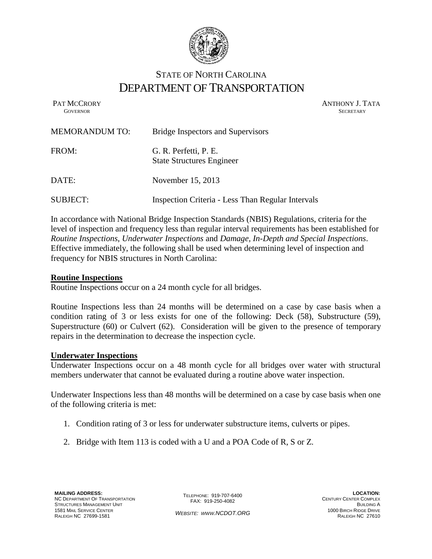

# STATE OF NORTH CAROLINA DEPARTMENT OF TRANSPORTATION

PAT MCCRORY ANTHONY J. TATA **GOVERNOR SECRETARY** SECRETARY

| <b>MEMORANDUM TO:</b> | Bridge Inspectors and Supervisors                         |
|-----------------------|-----------------------------------------------------------|
| FROM:                 | G. R. Perfetti, P. E.<br><b>State Structures Engineer</b> |
| DATE:                 | November 15, 2013                                         |
| <b>SUBJECT:</b>       | Inspection Criteria - Less Than Regular Intervals         |

In accordance with National Bridge Inspection Standards (NBIS) Regulations, criteria for the level of inspection and frequency less than regular interval requirements has been established for *Routine Inspections*, *Underwater Inspections* and *Damage, In-Depth and Special Inspections*. Effective immediately, the following shall be used when determining level of inspection and frequency for NBIS structures in North Carolina:

# **Routine Inspections**

Routine Inspections occur on a 24 month cycle for all bridges.

Routine Inspections less than 24 months will be determined on a case by case basis when a condition rating of 3 or less exists for one of the following: Deck (58), Substructure (59), Superstructure (60) or Culvert (62). Consideration will be given to the presence of temporary repairs in the determination to decrease the inspection cycle.

# **Underwater Inspections**

Underwater Inspections occur on a 48 month cycle for all bridges over water with structural members underwater that cannot be evaluated during a routine above water inspection.

Underwater Inspections less than 48 months will be determined on a case by case basis when one of the following criteria is met:

- 1. Condition rating of 3 or less for underwater substructure items, culverts or pipes.
- 2. Bridge with Item 113 is coded with a U and a POA Code of R, S or Z.

TELEPHONE: 919-707-6400 FAX: 919-250-4082

*WEBSITE: WWW.NCDOT.ORG*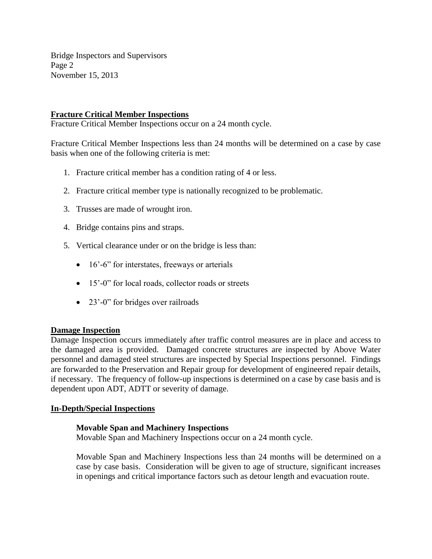Bridge Inspectors and Supervisors Page 2 November 15, 2013

# **Fracture Critical Member Inspections**

Fracture Critical Member Inspections occur on a 24 month cycle.

Fracture Critical Member Inspections less than 24 months will be determined on a case by case basis when one of the following criteria is met:

- 1. Fracture critical member has a condition rating of 4 or less.
- 2. Fracture critical member type is nationally recognized to be problematic.
- 3. Trusses are made of wrought iron.
- 4. Bridge contains pins and straps.
- 5. Vertical clearance under or on the bridge is less than:
	- 16'-6" for interstates, freeways or arterials
	- 15'-0" for local roads, collector roads or streets
	- 23'-0" for bridges over railroads

# **Damage Inspection**

Damage Inspection occurs immediately after traffic control measures are in place and access to the damaged area is provided. Damaged concrete structures are inspected by Above Water personnel and damaged steel structures are inspected by Special Inspections personnel. Findings are forwarded to the Preservation and Repair group for development of engineered repair details, if necessary. The frequency of follow-up inspections is determined on a case by case basis and is dependent upon ADT, ADTT or severity of damage.

# **In-Depth/Special Inspections**

# **Movable Span and Machinery Inspections**

Movable Span and Machinery Inspections occur on a 24 month cycle.

Movable Span and Machinery Inspections less than 24 months will be determined on a case by case basis. Consideration will be given to age of structure, significant increases in openings and critical importance factors such as detour length and evacuation route.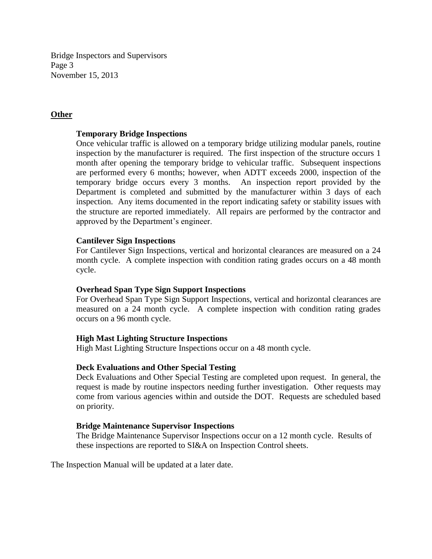Bridge Inspectors and Supervisors Page 3 November 15, 2013

# **Other**

## **Temporary Bridge Inspections**

Once vehicular traffic is allowed on a temporary bridge utilizing modular panels, routine inspection by the manufacturer is required. The first inspection of the structure occurs 1 month after opening the temporary bridge to vehicular traffic. Subsequent inspections are performed every 6 months; however, when ADTT exceeds 2000, inspection of the temporary bridge occurs every 3 months. An inspection report provided by the Department is completed and submitted by the manufacturer within 3 days of each inspection. Any items documented in the report indicating safety or stability issues with the structure are reported immediately. All repairs are performed by the contractor and approved by the Department's engineer.

# **Cantilever Sign Inspections**

For Cantilever Sign Inspections, vertical and horizontal clearances are measured on a 24 month cycle. A complete inspection with condition rating grades occurs on a 48 month cycle.

# **Overhead Span Type Sign Support Inspections**

For Overhead Span Type Sign Support Inspections, vertical and horizontal clearances are measured on a 24 month cycle. A complete inspection with condition rating grades occurs on a 96 month cycle.

### **High Mast Lighting Structure Inspections**

High Mast Lighting Structure Inspections occur on a 48 month cycle.

### **Deck Evaluations and Other Special Testing**

Deck Evaluations and Other Special Testing are completed upon request. In general, the request is made by routine inspectors needing further investigation. Other requests may come from various agencies within and outside the DOT. Requests are scheduled based on priority.

### **Bridge Maintenance Supervisor Inspections**

The Bridge Maintenance Supervisor Inspections occur on a 12 month cycle. Results of these inspections are reported to SI&A on Inspection Control sheets.

The Inspection Manual will be updated at a later date.